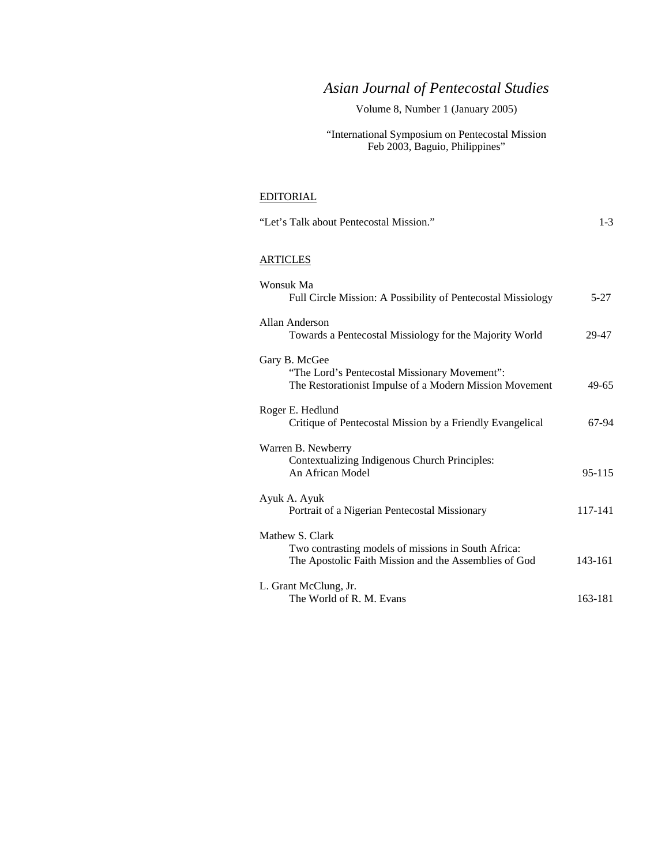# *Asian Journal of Pentecostal Studies*

# Volume 8, Number 1 (January 2005)

### "International Symposium on Pentecostal Mission Feb 2003, Baguio, Philippines"

## EDITORIAL

| "Let's Talk about Pentecostal Mission."                                                                                         | $1 - 3$    |
|---------------------------------------------------------------------------------------------------------------------------------|------------|
| <b>ARTICLES</b>                                                                                                                 |            |
| Wonsuk Ma<br>Full Circle Mission: A Possibility of Pentecostal Missiology                                                       | $5-27$     |
| Allan Anderson<br>Towards a Pentecostal Missiology for the Majority World                                                       | 29-47      |
| Gary B. McGee<br>"The Lord's Pentecostal Missionary Movement":<br>The Restorationist Impulse of a Modern Mission Movement       | 49-65      |
| Roger E. Hedlund<br>Critique of Pentecostal Mission by a Friendly Evangelical                                                   | 67-94      |
| Warren B. Newberry<br>Contextualizing Indigenous Church Principles:<br>An African Model                                         | $95 - 115$ |
| Ayuk A. Ayuk<br>Portrait of a Nigerian Pentecostal Missionary                                                                   | 117-141    |
| Mathew S. Clark<br>Two contrasting models of missions in South Africa:<br>The Apostolic Faith Mission and the Assemblies of God | 143-161    |
| L. Grant McClung, Jr.<br>The World of R. M. Evans                                                                               | 163-181    |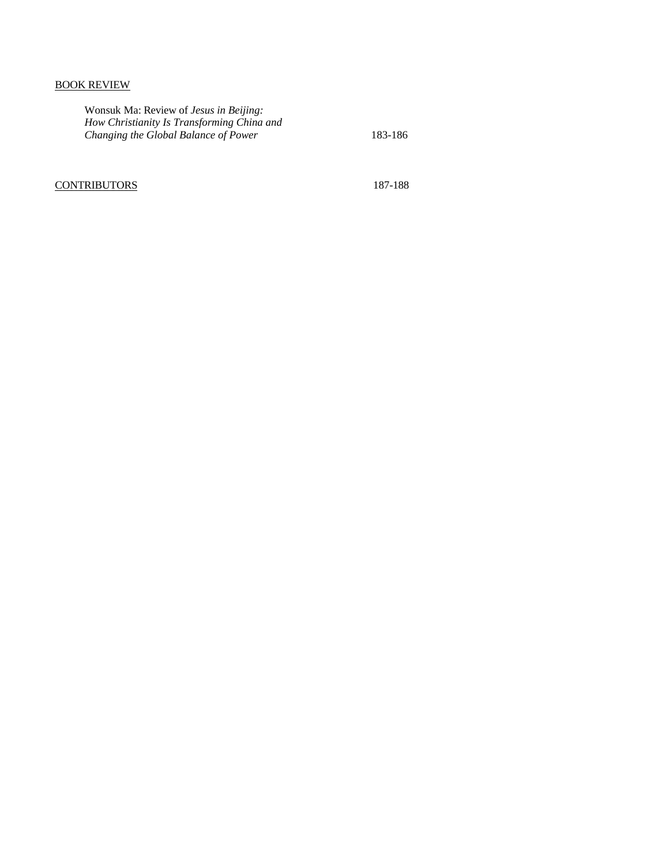### BOOK REVIEW

Wonsuk Ma: Review of *Jesus in Beijing: How Christianity Is Transforming China and Changing the Global Balance of Power* 183-186

### CONTRIBUTORS 187-188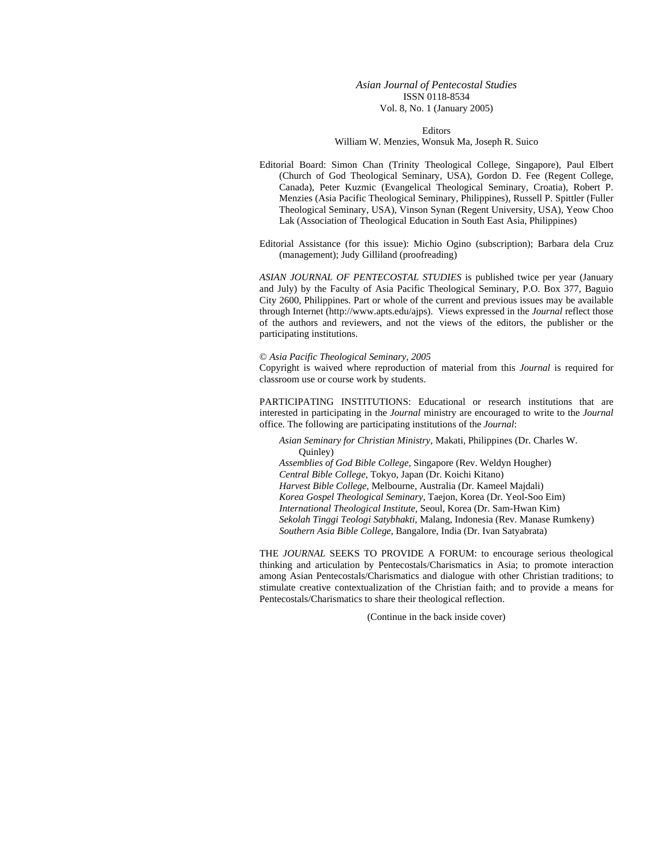#### *Asian Journal of Pentecostal Studies*  ISSN 0118-8534 Vol. 8, No. 1 (January 2005)

Editors

William W. Menzies, Wonsuk Ma, Joseph R. Suico

Editorial Board: Simon Chan (Trinity Theological College, Singapore), Paul Elbert (Church of God Theological Seminary, USA), Gordon D. Fee (Regent College, Canada), Peter Kuzmic (Evangelical Theological Seminary, Croatia), Robert P. Menzies (Asia Pacific Theological Seminary, Philippines), Russell P. Spittler (Fuller Theological Seminary, USA), Vinson Synan (Regent University, USA), Yeow Choo Lak (Association of Theological Education in South East Asia, Philippines)

Editorial Assistance (for this issue): Michio Ogino (subscription); Barbara dela Cruz (management); Judy Gilliland (proofreading)

*ASIAN JOURNAL OF PENTECOSTAL STUDIES* is published twice per year (January and July) by the Faculty of Asia Pacific Theological Seminary, P.O. Box 377, Baguio City 2600, Philippines. Part or whole of the current and previous issues may be available through Internet (http://www.apts.edu/ajps). Views expressed in the *Journal* reflect those of the authors and reviewers, and not the views of the editors, the publisher or the participating institutions.

#### © *Asia Pacific Theological Seminary, 2005*

Copyright is waived where reproduction of material from this *Journal* is required for classroom use or course work by students.

PARTICIPATING INSTITUTIONS: Educational or research institutions that are interested in participating in the *Journal* ministry are encouraged to write to the *Journal* office. The following are participating institutions of the *Journal*:

*Asian Seminary for Christian Ministry*, Makati, Philippines (Dr. Charles W. Quinley) *Assemblies of God Bible College*, Singapore (Rev. Weldyn Hougher)

*Central Bible College,* Tokyo, Japan (Dr. Koichi Kitano) *Harvest Bible College*, Melbourne, Australia (Dr. Kameel Majdali) *Korea Gospel Theological Seminary*, Taejon, Korea (Dr. Yeol-Soo Eim) *International Theological Institute*, Seoul, Korea (Dr. Sam-Hwan Kim) *Sekolah Tinggi Teologi Satybhakti*, Malang, Indonesia (Rev. Manase Rumkeny) *Southern Asia Bible College*, Bangalore, India (Dr. Ivan Satyabrata)

THE *JOURNAL* SEEKS TO PROVIDE A FORUM: to encourage serious theological thinking and articulation by Pentecostals/Charismatics in Asia; to promote interaction among Asian Pentecostals/Charismatics and dialogue with other Christian traditions; to stimulate creative contextualization of the Christian faith; and to provide a means for Pentecostals/Charismatics to share their theological reflection.

(Continue in the back inside cover)